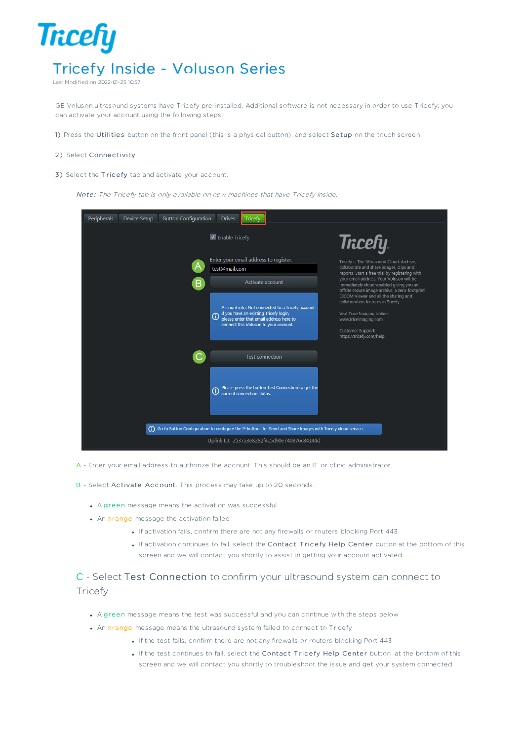

Last Modified on 2022-01-25 10:57

GE Voluson ultrasound systems have Tricefy pre-installed. Additional software is not necessary in order to use Tricefy; you can activate your account using the following steps:

1) Press the Utilities button on the front panel (this is a physical button), and select Setup on the touch screen

#### 2) Select Connectivity

3) Select the Tricefy tab and activate your account.

Note: The Tricefy tab is only available on new machines that have Tricefy Inside.

| Peripherals | <b>Device Setup</b> | <b>Button Configuration</b> | <b>Drives</b><br>Tricefy                                                                                                                                                                                                                                          |                                                                                                                                                                                                                                                                                                                                                                                                                       |
|-------------|---------------------|-----------------------------|-------------------------------------------------------------------------------------------------------------------------------------------------------------------------------------------------------------------------------------------------------------------|-----------------------------------------------------------------------------------------------------------------------------------------------------------------------------------------------------------------------------------------------------------------------------------------------------------------------------------------------------------------------------------------------------------------------|
|             |                     |                             | $\blacksquare$ Enable Tricefy                                                                                                                                                                                                                                     | <b>Tricefy</b>                                                                                                                                                                                                                                                                                                                                                                                                        |
|             |                     | в                           | Enter your email address to register:<br>test@mail.com<br>Activate account<br>Account info: Not connected to a Tricefy account<br>If you have an existing Tricefy login,<br>O<br>please enter that email address here to<br>connect this Voluson to your account. | Tricefy is The Ultrasound Cloud. Archive,<br>collaborate and share images, clips and<br>reports. Start a free trial by registering with<br>your email address. Your Voluson will be<br>immediately cloud-enabled giving you an<br>offsite secure image archive, a zero-footprint<br>DICOM Viewer and all the sharing and<br>collaboration features in Tricefy.<br>Visit Trice Imaging online:<br>www.triceimaging.com |
|             |                     |                             | <b>Test connection</b>                                                                                                                                                                                                                                            | <b>Customer Support:</b><br>https://tricefy.com/help                                                                                                                                                                                                                                                                                                                                                                  |
|             |                     |                             | Please press the button Test Connection to get the<br>C<br>current connection status.<br>Go to Button Configuration to configure the P-buttons for Send and Share Images with Tricefy cloud service.                                                              |                                                                                                                                                                                                                                                                                                                                                                                                                       |
|             |                     |                             | Uplink ID: 2537a3e8282f4c5d90e740876c84144d                                                                                                                                                                                                                       |                                                                                                                                                                                                                                                                                                                                                                                                                       |

A - Enter your email address to authorize the account. This should be an IT or clinic administrator.

B - Select Ac tivate Ac c ount. This process may take up to 20 seconds.

- A green message means the activation was successful
- An orange message the activation failed
	- If activation fails, confirm there are not any firewalls or routers blocking Port 443
	- . If activation continues to fail, select the Contact Tricefy Help Center button at the bottom of this screen and we will contact you shortly to assist in getting your account activated

C - Select Test Connection to confirm your ultrasound system can connect to Tricefy

- A green message means the test was successful and you can continue with the steps below
- An orange message means the ultrasound system failed to connect to Tricefy
	- If the test fails, confirm there are not any firewalls or routers blocking Port 443
	- . If the test continues to fail, select the Contact Tricefy Help Center button at the bottom of this screen and we will contact you shortly to troubleshoot the issue and get your system connected.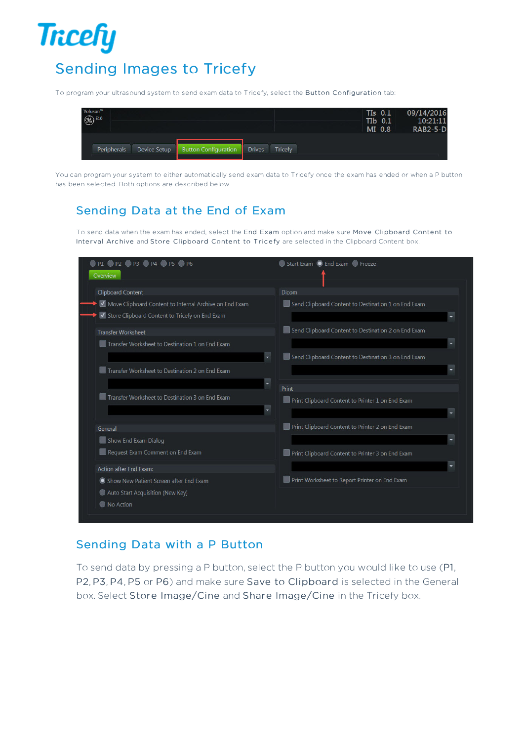# **Tricefy** Sending Images to Tricefy

To program your ultrasound system to send exam data to Tricefy, select the Button Configuration tab:



You can program your system to either automatically send exam data to Tricefy once the exam has ended or when a P button has been selected. Both options are described below.

## Sending Data at the End of Exam

To send data when the exam has ended, select the End Exam option and make sure Move Clipboard Content to Interval Archive and Store Clipboard Content to Tricefy are selected in the Clipboard Content box.



#### Sending Data with a P Button

To send data by pressing a P button, select the P button you would like to use (P1, P2, P3, P4, P5 or P6) and make sure Save to Clipboard is selected in the General box. Select Store Image/Cine and Share Image/Cine in the Tricefy box.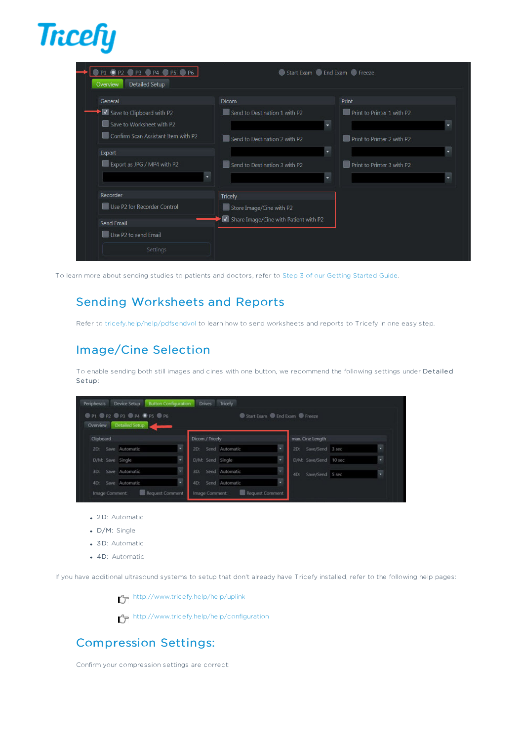

| General                             | <b>Dicom</b>                                          | Print                      |
|-------------------------------------|-------------------------------------------------------|----------------------------|
| Save to Clipboard with P2           | Send to Destination 1 with P2                         | Print to Printer 1 with P2 |
| Save to Worksheet with P2           |                                                       | ▼                          |
| Confirm Scan Assistant Item with P2 | Send to Destination 2 with P2                         | Print to Printer 2 with P2 |
| Export                              |                                                       | $\overline{\phantom{0}}$   |
| Export as JPG / MP4 with P2         | Send to Destination 3 with P2                         | Print to Printer 3 with P2 |
|                                     |                                                       | ▼                          |
| Recorder                            | <b>Tricefy</b>                                        |                            |
| Use P2 for Recorder Control         | Store Image/Cine with P2                              |                            |
| Send Email                          | $\triangledown$ Share Image/Cine with Patient with P2 |                            |

To learn more about sending studies to patients and doctors, refer to Step 3 of our Getting Started Guide.

#### Sending Worksheets and Reports

Refer to tricefy.help/help/pdfsendvol to learn how to send worksheets and reports to Tricefy in one easy step.

#### Image/Cine Selection

To enable sending both still images and cines with one button, we recommend the following settings under Detailed Se tup:

| @ P1 @ P2 @ P3 @ P4 @ P5 @ P6 |  |                  |                | Start Exam C End Exam C Freeze |                        |  |  |
|-------------------------------|--|------------------|----------------|--------------------------------|------------------------|--|--|
| Detailed Setup<br>Overview    |  |                  |                |                                |                        |  |  |
| Clipboard                     |  | Dicom / Tricefy  |                | max. Cine Length               |                        |  |  |
| Save Automatic<br>$2D$ :      |  | 2D:              | Send Automatic | ٠                              | Save/Send 3 sec<br>2D  |  |  |
| D/M: Save Single              |  | D/M: Send Single |                | ٠                              | D/M: Save/Send 10 sec  |  |  |
| Save Automatic<br>3D:         |  | 3D <sub>z</sub>  | Send Automatic | ъ,                             | Save/Send 5 sec<br>4D: |  |  |
| Save Automatic<br>4D:         |  | $4D$ :           | Send Automatic | ٠                              |                        |  |  |

- 2D: Automatic
- D/M: Single
- 3D: Automatic
- 4D: Automatic

If you have additional ultrasound systems to setup that don't already have Tricefy installed, refer to the following help pages:

 $T$ http://www.tricefy.help/help/uplink

http://www.tricefy.help/help/configuration

## Compression Settings:

Confirm your compression settings are correct: